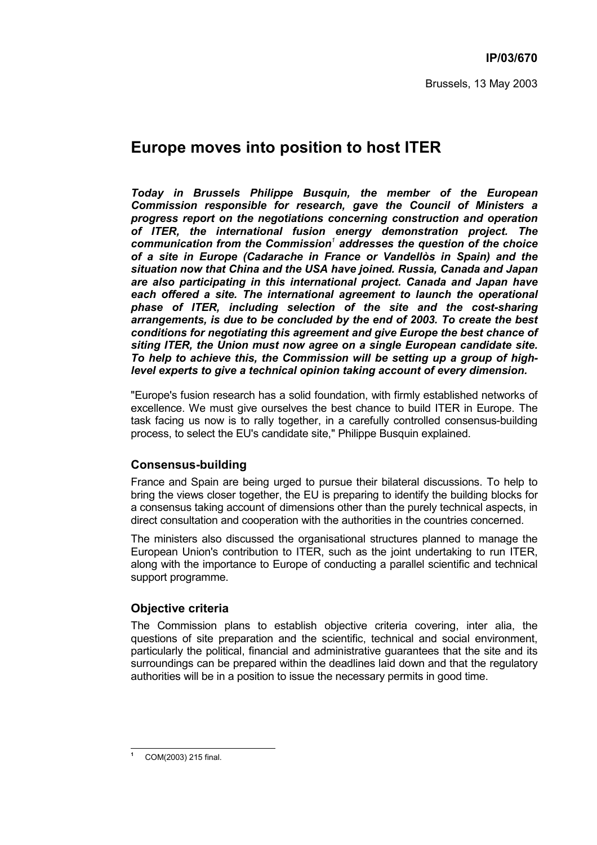# **Europe moves into position to host ITER**

*Today in Brussels Philippe Busquin, the member of the European Commission responsible for research, gave the Council of Ministers a progress report on the negotiations concerning construction and operation of ITER, the international fusion energy demonstration project. The communication from the Commission<sup>1</sup> addresses the question of the choice* of a site in Europe (Cadarache in France or Vandellòs in Spain) and the *situation now that China and the USA have joined. Russia, Canada and Japan are also participating in this international project. Canada and Japan have each offered a site. The international agreement to launch the operational phase of ITER, including selection of the site and the cost-sharing arrangements, is due to be concluded by the end of 2003. To create the best conditions for negotiating this agreement and give Europe the best chance of siting ITER, the Union must now agree on a single European candidate site. To help to achieve this, the Commission will be setting up a group of highlevel experts to give a technical opinion taking account of every dimension.*

"Europe's fusion research has a solid foundation, with firmly established networks of excellence. We must give ourselves the best chance to build ITER in Europe. The task facing us now is to rally together, in a carefully controlled consensus-building process, to select the EU's candidate site," Philippe Busquin explained.

# **Consensus-building**

France and Spain are being urged to pursue their bilateral discussions. To help to bring the views closer together, the EU is preparing to identify the building blocks for a consensus taking account of dimensions other than the purely technical aspects, in direct consultation and cooperation with the authorities in the countries concerned.

The ministers also discussed the organisational structures planned to manage the European Union's contribution to ITER, such as the joint undertaking to run ITER, along with the importance to Europe of conducting a parallel scientific and technical support programme.

# **Objective criteria**

The Commission plans to establish objective criteria covering, inter alia, the questions of site preparation and the scientific, technical and social environment, particularly the political, financial and administrative guarantees that the site and its surroundings can be prepared within the deadlines laid down and that the regulatory authorities will be in a position to issue the necessary permits in good time.

 $\overline{a}$ **1**

COM(2003) 215 final.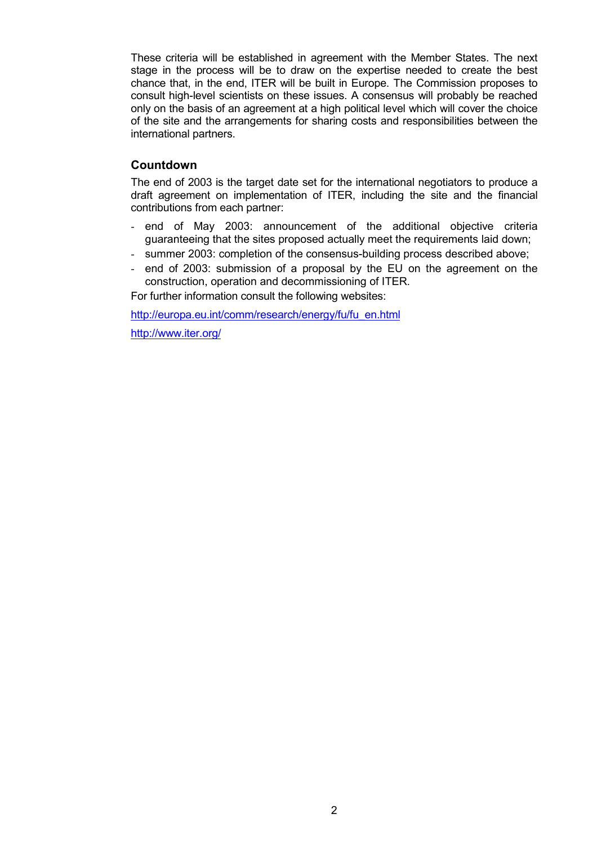These criteria will be established in agreement with the Member States. The next stage in the process will be to draw on the expertise needed to create the best chance that, in the end, ITER will be built in Europe. The Commission proposes to consult high-level scientists on these issues. A consensus will probably be reached only on the basis of an agreement at a high political level which will cover the choice of the site and the arrangements for sharing costs and responsibilities between the international partners.

## **Countdown**

The end of 2003 is the target date set for the international negotiators to produce a draft agreement on implementation of ITER, including the site and the financial contributions from each partner:

- end of May 2003: announcement of the additional objective criteria guaranteeing that the sites proposed actually meet the requirements laid down;
- summer 2003: completion of the consensus-building process described above;
- end of 2003: submission of a proposal by the EU on the agreement on the construction, operation and decommissioning of ITER.

For further information consult the following websites:

http://europa.eu.int/comm/research/energy/fu/fu\_en.html

http://www.iter.org/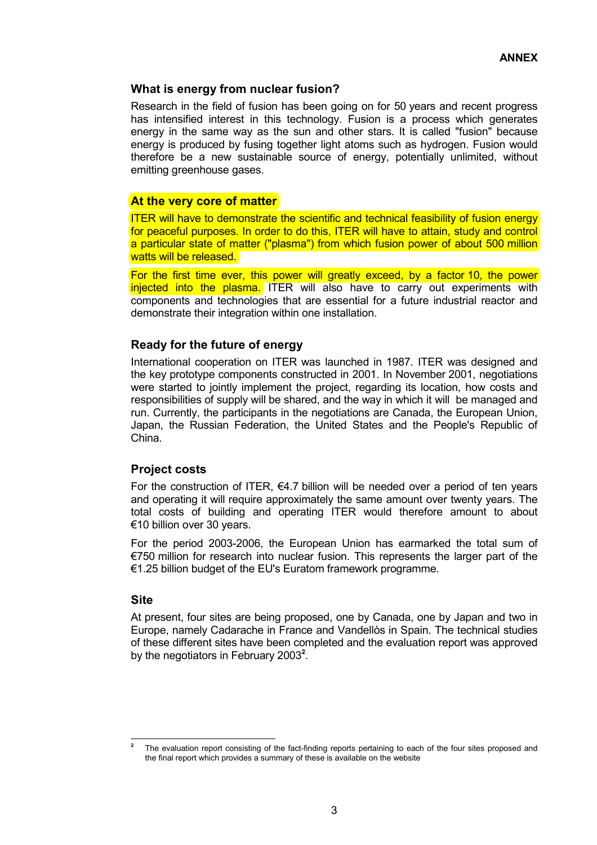## **What is energy from nuclear fusion?**

Research in the field of fusion has been going on for 50 years and recent progress has intensified interest in this technology. Fusion is a process which generates energy in the same way as the sun and other stars. It is called "fusion" because energy is produced by fusing together light atoms such as hydrogen. Fusion would therefore be a new sustainable source of energy, potentially unlimited, without emitting greenhouse gases.

## **At the very core of matter**

ITER will have to demonstrate the scientific and technical feasibility of fusion energy for peaceful purposes. In order to do this, ITER will have to attain, study and control a particular state of matter ("plasma") from which fusion power of about 500 million watts will be released.

For the first time ever, this power will greatly exceed, by a factor 10, the power injected into the plasma. ITER will also have to carry out experiments with components and technologies that are essential for a future industrial reactor and demonstrate their integration within one installation.

## **Ready for the future of energy**

International cooperation on ITER was launched in 1987. ITER was designed and the key prototype components constructed in 2001. In November 2001, negotiations were started to jointly implement the project, regarding its location, how costs and responsibilities of supply will be shared, and the way in which it will be managed and run. Currently, the participants in the negotiations are Canada, the European Union, Japan, the Russian Federation, the United States and the People's Republic of China.

#### **Project costs**

For the construction of ITER,  $64.7$  billion will be needed over a period of ten years and operating it will require approximately the same amount over twenty years. The total costs of building and operating ITER would therefore amount to about €10 billion over 30 years.

For the period 2003-2006, the European Union has earmarked the total sum of  $E$ 750 million for research into nuclear fusion. This represents the larger part of the  $€1.25$  billion budget of the EU's Euratom framework programme.

#### **Site**

At present, four sites are being proposed, one by Canada, one by Japan and two in Europe, namely Cadarache in France and Vandellòs in Spain. The technical studies of these different sites have been completed and the evaluation report was approved by the negotiators in February 2003<sup>2</sup>.

 $\overline{2}$ **<sup>2</sup>** The evaluation report consisting of the fact-finding reports pertaining to each of the four sites proposed and the final report which provides a summary of these is available on the website